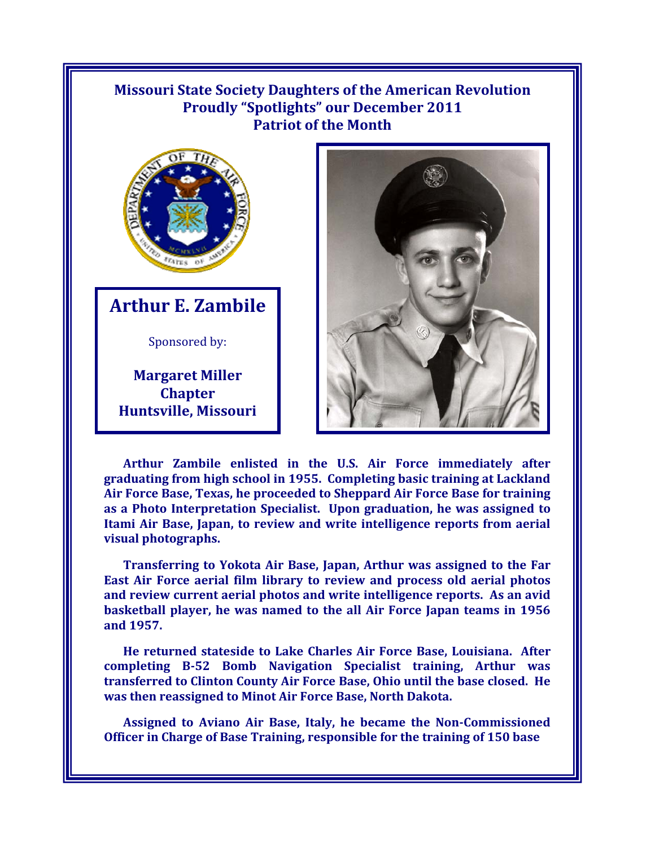## **Missouri State Society Daughters of the American Revolution Proudly "Spotlights" our December 2011 Patriot of the Month**



**Arthur E. Zambile**

Sponsored by:

**Margaret Miller Chapter Huntsville, Missouri** 



**Arthur Zambile enlisted in the U.S. Air Force immediately after graduating from high school in 1955. Completing basic training at Lackland Air Force Base, Texas, he proceeded to Sheppard Air Force Base for training as a Photo Interpretation Specialist. Upon graduation, he was assigned to Itami Air Base, Japan, to review and write intelligence reports from aerial visual photographs.** 

**Transferring to Yokota Air Base, Japan, Arthur was assigned to the Far East Air Force aerial film library to review and process old aerial photos and review current aerial photos and write intelligence reports. As an avid basketball player, he was named to the all Air Force Japan teams in 1956 and 1957.** 

**He returned stateside to Lake Charles Air Force Base, Louisiana. After completing B-52 Bomb Navigation Specialist training, Arthur was transferred to Clinton County Air Force Base, Ohio until the base closed. He was then reassigned to Minot Air Force Base, North Dakota.** 

**Assigned to Aviano Air Base, Italy, he became the Non-Commissioned Officer in Charge of Base Training, responsible for the training of 150 base**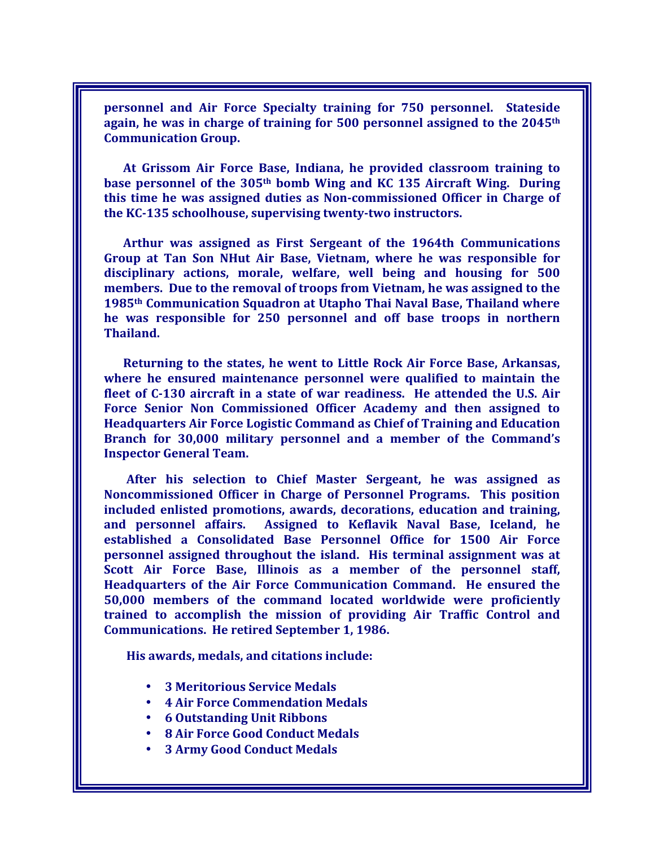**personnel and Air Force Specialty training for 750 personnel. Stateside again, he was in charge of training for 500 personnel assigned to the 2045th Communication Group.** 

**At Grissom Air Force Base, Indiana, he provided classroom training to base personnel of the 305th bomb Wing and KC 135 Aircraft Wing. During this time he was assigned duties as Non-commissioned Officer in Charge of the KC-135 schoolhouse, supervising twenty-two instructors.** 

**Arthur was assigned as First Sergeant of the 1964th Communications Group at Tan Son NHut Air Base, Vietnam, where he was responsible for disciplinary actions, morale, welfare, well being and housing for 500 members. Due to the removal of troops from Vietnam, he was assigned to the 1985th Communication Squadron at Utapho Thai Naval Base, Thailand where he was responsible for 250 personnel and off base troops in northern Thailand.** 

**Returning to the states, he went to Little Rock Air Force Base, Arkansas, where he ensured maintenance personnel were qualified to maintain the fleet of C-130 aircraft in a state of war readiness. He attended the U.S. Air Force Senior Non Commissioned Officer Academy and then assigned to Headquarters Air Force Logistic Command as Chief of Training and Education Branch for 30,000 military personnel and a member of the Command's Inspector General Team.** 

**After his selection to Chief Master Sergeant, he was assigned as Noncommissioned Officer in Charge of Personnel Programs. This position included enlisted promotions, awards, decorations, education and training, and personnel affairs. Assigned to Keflavik Naval Base, Iceland, he established a Consolidated Base Personnel Office for 1500 Air Force personnel assigned throughout the island. His terminal assignment was at Scott Air Force Base, Illinois as a member of the personnel staff, Headquarters of the Air Force Communication Command. He ensured the 50,000 members of the command located worldwide were proficiently trained to accomplish the mission of providing Air Traffic Control and Communications. He retired September 1, 1986.**

**His awards, medals, and citations include:** 

- **3 Meritorious Service Medals**
- **4 Air Force Commendation Medals**
- **6 Outstanding Unit Ribbons**
- **8 Air Force Good Conduct Medals**
- **3 Army Good Conduct Medals**